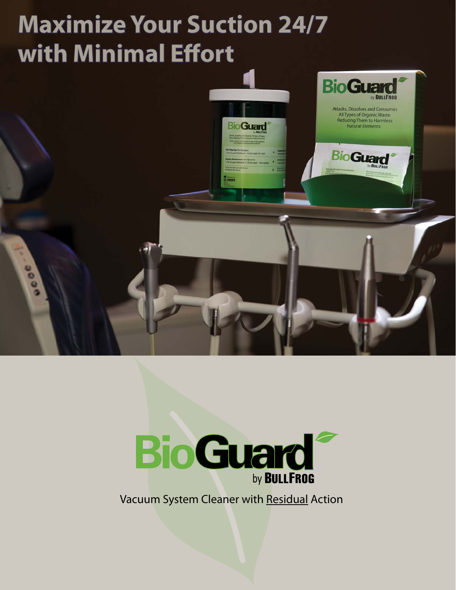# **Maximize Your Suction 24/7 with Minimal Effort**





Vacuum System Cleaner with Residual Action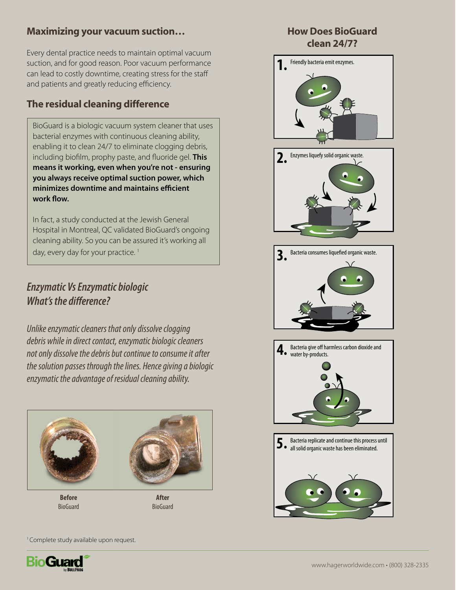#### Maximizing your vacuum suction…

Every dental practice needs to maintain optimal vacuum suction, and for good reason. Poor vacuum performance can lead to costly downtime, creating stress for the staff and patients and greatly reducing efficiency.

## The residual cleaning difference

BioGuard is a biologic vacuum system cleaner that uses bacterial enzymes with continuous cleaning ability, enabling it to clean 24/7 to eliminate clogging debris, including biofilm, prophy paste, and fluoride gel. **This means it working, even when you're not - ensuring you always receive optimal suction power, which minimizes downtime and maintains efficient work flow.** 

In fact, a study conducted at the Jewish General Hospital in Montreal, QC validated BioGuard's ongoing cleaning ability. So you can be assured it's working all day, every day for your practice.<sup>1</sup>

## *Enzymatic Vs Enzymatic biologic What's the difference?*

*Unlike enzymatic cleaners that only dissolve clogging debris while in direct contact, enzymatic biologic cleaners not only dissolve the debris but continue to consume it after the solution passes through the lines. Hence giving a biologic enzymatic the advantage of residual cleaning ability.*



**Before** BioGuard

**After** BioGuard

#### How Does BioGuard clean 24/7?



<sup>1</sup> Complete study available upon request.

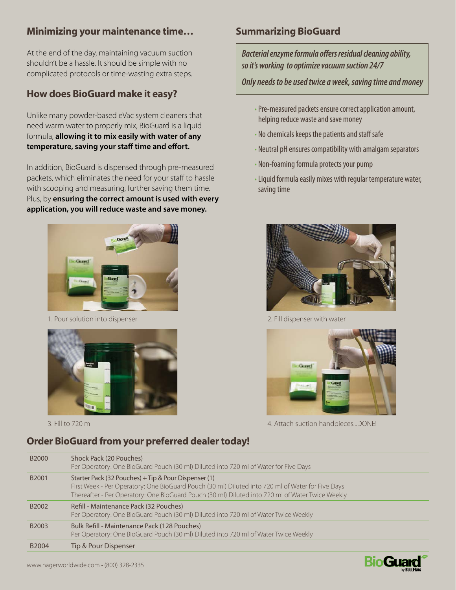#### Minimizing your maintenance time…

At the end of the day, maintaining vacuum suction shouldn't be a hassle. It should be simple with no complicated protocols or time-wasting extra steps.

### How does BioGuard make it easy?

Unlike many powder-based eVac system cleaners that need warm water to properly mix, BioGuard is a liquid formula, **allowing it to mix easily with water of any temperature, saving your staff time and effort.**

In addition, BioGuard is dispensed through pre-measured packets, which eliminates the need for your staff to hassle with scooping and measuring, further saving them time. Plus, by **ensuring the correct amount is used with every application, you will reduce waste and save money.**



1. Pour solution into dispenser



3. Fill to 720 ml

# Summarizing BioGuard

*Bacterial enzyme formula offers residual cleaning ability, so it's working to optimize vacuum suction 24/7*

*Only needs to be used twice a week, saving time and money*

- •Pre-measured packets ensure correct application amount, helping reduce waste and save money
- No chemicals keeps the patients and staff safe
- Neutral pH ensures compatibility with amalgam separators
- Non-foaming formula protects your pump
- •Liquid formula easily mixes with regular temperature water, saving time



2. Fill dispenser with water



4. Attach suction handpieces...DONE!

## Order BioGuard from your preferred dealer today!

| B2000             | Shock Pack (20 Pouches)<br>Per Operatory: One BioGuard Pouch (30 ml) Diluted into 720 ml of Water for Five Days                                                                                                                                               |
|-------------------|---------------------------------------------------------------------------------------------------------------------------------------------------------------------------------------------------------------------------------------------------------------|
| B2001             | Starter Pack (32 Pouches) + Tip & Pour Dispenser (1)<br>First Week - Per Operatory: One BioGuard Pouch (30 ml) Diluted into 720 ml of Water for Five Days<br>Thereafter - Per Operatory: One BioGuard Pouch (30 ml) Diluted into 720 ml of Water Twice Weekly |
| B2002             | Refill - Maintenance Pack (32 Pouches)<br>Per Operatory: One BioGuard Pouch (30 ml) Diluted into 720 ml of Water Twice Weekly                                                                                                                                 |
| B <sub>2003</sub> | Bulk Refill - Maintenance Pack (128 Pouches)<br>Per Operatory: One BioGuard Pouch (30 ml) Diluted into 720 ml of Water Twice Weekly                                                                                                                           |
| B <sub>2004</sub> | Tip & Pour Dispenser                                                                                                                                                                                                                                          |